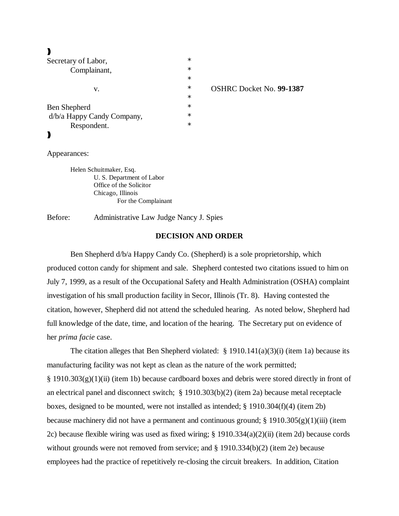$\blacktriangleright$ 

| Secretary of Labor,        | $\ast$ |                                 |
|----------------------------|--------|---------------------------------|
| Complainant,<br>v.         | $\ast$ |                                 |
|                            | $\ast$ |                                 |
|                            | $\ast$ | <b>OSHRC Docket No. 99-1387</b> |
|                            | $\ast$ |                                 |
| Ben Shepherd               | $\ast$ |                                 |
| d/b/a Happy Candy Company, | $\ast$ |                                 |
| Respondent.                | $\ast$ |                                 |
|                            |        |                                 |

Appearances:

Helen Schuitmaker, Esq. U. S. Department of Labor Office of the Solicitor Chicago, Illinois For the Complainant

Before: Administrative Law Judge Nancy J. Spies

### **DECISION AND ORDER**

Ben Shepherd d/b/a Happy Candy Co. (Shepherd) is a sole proprietorship, which produced cotton candy for shipment and sale. Shepherd contested two citations issued to him on July 7, 1999, as a result of the Occupational Safety and Health Administration (OSHA) complaint investigation of his small production facility in Secor, Illinois (Tr. 8). Having contested the citation, however, Shepherd did not attend the scheduled hearing. As noted below, Shepherd had full knowledge of the date, time, and location of the hearing. The Secretary put on evidence of her *prima facie* case.

The citation alleges that Ben Shepherd violated:  $\S$  1910.141(a)(3)(i) (item 1a) because its manufacturing facility was not kept as clean as the nature of the work permitted;  $\S 1910.303(g)(1)(ii)$  (item 1b) because cardboard boxes and debris were stored directly in front of an electrical panel and disconnect switch; § 1910.303(b)(2) (item 2a) because metal receptacle boxes, designed to be mounted, were not installed as intended; § 1910.304(f)(4) (item 2b) because machinery did not have a permanent and continuous ground;  $\S 1910.305(g)(1)(iii)$  (item 2c) because flexible wiring was used as fixed wiring; § 1910.334(a)(2)(ii) (item 2d) because cords without grounds were not removed from service; and § 1910.334(b)(2) (item 2e) because employees had the practice of repetitively re-closing the circuit breakers. In addition, Citation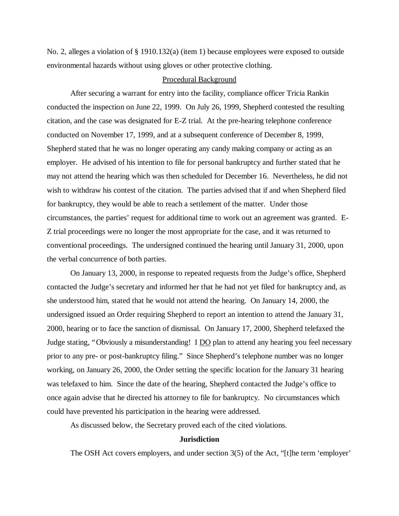No. 2, alleges a violation of § 1910.132(a) (item 1) because employees were exposed to outside environmental hazards without using gloves or other protective clothing.

#### Procedural Background

After securing a warrant for entry into the facility, compliance officer Tricia Rankin conducted the inspection on June 22, 1999. On July 26, 1999, Shepherd contested the resulting citation, and the case was designated for E-Z trial. At the pre-hearing telephone conference conducted on November 17, 1999, and at a subsequent conference of December 8, 1999, Shepherd stated that he was no longer operating any candy making company or acting as an employer. He advised of his intention to file for personal bankruptcy and further stated that he may not attend the hearing which was then scheduled for December 16. Nevertheless, he did not wish to withdraw his contest of the citation. The parties advised that if and when Shepherd filed for bankruptcy, they would be able to reach a settlement of the matter. Under those circumstances, the parties' request for additional time to work out an agreement was granted. E-Z trial proceedings were no longer the most appropriate for the case, and it was returned to conventional proceedings. The undersigned continued the hearing until January 31, 2000, upon the verbal concurrence of both parties.

On January 13, 2000, in response to repeated requests from the Judge's office, Shepherd contacted the Judge's secretary and informed her that he had not yet filed for bankruptcy and, as she understood him, stated that he would not attend the hearing. On January 14, 2000, the undersigned issued an Order requiring Shepherd to report an intention to attend the January 31, 2000, hearing or to face the sanction of dismissal. On January 17, 2000, Shepherd telefaxed the Judge stating, "Obviously a misunderstanding! I DO plan to attend any hearing you feel necessary prior to any pre- or post-bankruptcy filing." Since Shepherd's telephone number was no longer working, on January 26, 2000, the Order setting the specific location for the January 31 hearing was telefaxed to him. Since the date of the hearing, Shepherd contacted the Judge's office to once again advise that he directed his attorney to file for bankruptcy. No circumstances which could have prevented his participation in the hearing were addressed.

As discussed below, the Secretary proved each of the cited violations.

### **Jurisdiction**

The OSH Act covers employers, and under section 3(5) of the Act, "[t]he term 'employer'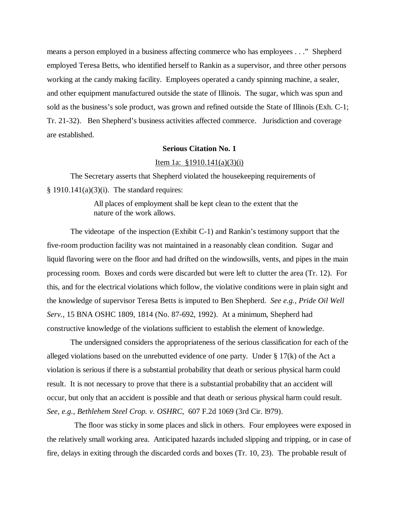means a person employed in a business affecting commerce who has employees . . ." Shepherd employed Teresa Betts, who identified herself to Rankin as a supervisor, and three other persons working at the candy making facility. Employees operated a candy spinning machine, a sealer, and other equipment manufactured outside the state of Illinois. The sugar, which was spun and sold as the business's sole product, was grown and refined outside the State of Illinois (Exh. C-1; Tr. 21-32). Ben Shepherd's business activities affected commerce. Jurisdiction and coverage are established.

## **Serious Citation No. 1**

### Item 1a: §1910.141(a)(3)(i)

The Secretary asserts that Shepherd violated the housekeeping requirements of  $§$  1910.141(a)(3)(i). The standard requires:

> All places of employment shall be kept clean to the extent that the nature of the work allows.

The videotape of the inspection (Exhibit C-1) and Rankin's testimony support that the five-room production facility was not maintained in a reasonably clean condition. Sugar and liquid flavoring were on the floor and had drifted on the windowsills, vents, and pipes in the main processing room. Boxes and cords were discarded but were left to clutter the area (Tr. 12). For this, and for the electrical violations which follow, the violative conditions were in plain sight and the knowledge of supervisor Teresa Betts is imputed to Ben Shepherd. *See e.g., Pride Oil Well Serv.*, 15 BNA OSHC 1809, 1814 (No. 87-692, 1992). At a minimum, Shepherd had constructive knowledge of the violations sufficient to establish the element of knowledge.

The undersigned considers the appropriateness of the serious classification for each of the alleged violations based on the unrebutted evidence of one party. Under  $\S 17(k)$  of the Act a violation is serious if there is a substantial probability that death or serious physical harm could result. It is not necessary to prove that there is a substantial probability that an accident will occur, but only that an accident is possible and that death or serious physical harm could result. *See, e.g., Bethlehem Steel Crop. v. OSHRC*, 607 F.2d 1069 (3rd Cir. l979).

 The floor was sticky in some places and slick in others. Four employees were exposed in the relatively small working area. Anticipated hazards included slipping and tripping, or in case of fire, delays in exiting through the discarded cords and boxes (Tr. 10, 23). The probable result of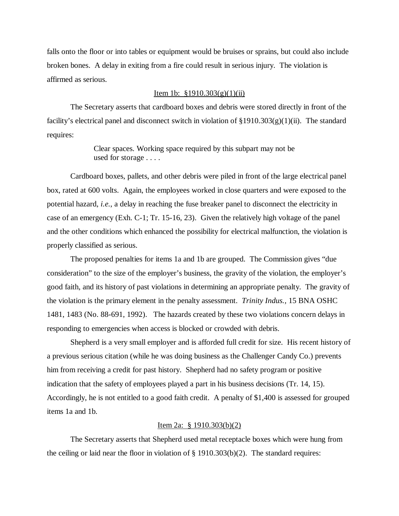falls onto the floor or into tables or equipment would be bruises or sprains, but could also include broken bones. A delay in exiting from a fire could result in serious injury. The violation is affirmed as serious.

## Item 1b:  $$1910.303(g)(1)(ii)$

The Secretary asserts that cardboard boxes and debris were stored directly in front of the facility's electrical panel and disconnect switch in violation of  $\S 1910.303(g)(1)(ii)$ . The standard requires:

> Clear spaces. Working space required by this subpart may not be used for storage . . . .

Cardboard boxes, pallets, and other debris were piled in front of the large electrical panel box, rated at 600 volts. Again, the employees worked in close quarters and were exposed to the potential hazard, *i.e.*, a delay in reaching the fuse breaker panel to disconnect the electricity in case of an emergency (Exh. C-1; Tr. 15-16, 23). Given the relatively high voltage of the panel and the other conditions which enhanced the possibility for electrical malfunction, the violation is properly classified as serious.

The proposed penalties for items 1a and 1b are grouped. The Commission gives "due consideration" to the size of the employer's business, the gravity of the violation, the employer's good faith, and its history of past violations in determining an appropriate penalty. The gravity of the violation is the primary element in the penalty assessment. *Trinity Indus.,* 15 BNA OSHC 1481, 1483 (No. 88-691, 1992). The hazards created by these two violations concern delays in responding to emergencies when access is blocked or crowded with debris.

Shepherd is a very small employer and is afforded full credit for size. His recent history of a previous serious citation (while he was doing business as the Challenger Candy Co.) prevents him from receiving a credit for past history. Shepherd had no safety program or positive indication that the safety of employees played a part in his business decisions (Tr. 14, 15). Accordingly, he is not entitled to a good faith credit. A penalty of \$1,400 is assessed for grouped items 1a and 1b.

#### Item 2a: § 1910.303(b)(2)

The Secretary asserts that Shepherd used metal receptacle boxes which were hung from the ceiling or laid near the floor in violation of  $\S$  1910.303(b)(2). The standard requires: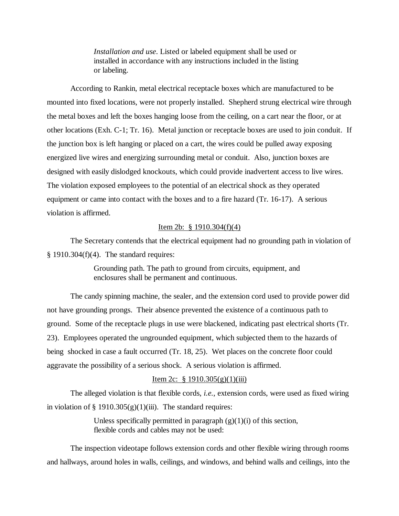*Installation and use*. Listed or labeled equipment shall be used or installed in accordance with any instructions included in the listing or labeling.

According to Rankin, metal electrical receptacle boxes which are manufactured to be mounted into fixed locations, were not properly installed. Shepherd strung electrical wire through the metal boxes and left the boxes hanging loose from the ceiling, on a cart near the floor, or at other locations (Exh. C-1; Tr. 16). Metal junction or receptacle boxes are used to join conduit. If the junction box is left hanging or placed on a cart, the wires could be pulled away exposing energized live wires and energizing surrounding metal or conduit. Also, junction boxes are designed with easily dislodged knockouts, which could provide inadvertent access to live wires. The violation exposed employees to the potential of an electrical shock as they operated equipment or came into contact with the boxes and to a fire hazard (Tr. 16-17). A serious violation is affirmed.

## Item 2b: § 1910.304(f)(4)

The Secretary contends that the electrical equipment had no grounding path in violation of  $§$  1910.304(f)(4). The standard requires:

> Grounding path. The path to ground from circuits, equipment, and enclosures shall be permanent and continuous.

The candy spinning machine, the sealer, and the extension cord used to provide power did not have grounding prongs. Their absence prevented the existence of a continuous path to ground. Some of the receptacle plugs in use were blackened, indicating past electrical shorts (Tr. 23). Employees operated the ungrounded equipment, which subjected them to the hazards of being shocked in case a fault occurred (Tr. 18, 25). Wet places on the concrete floor could aggravate the possibility of a serious shock. A serious violation is affirmed.

# Item 2c:  $\frac{1}{9}$  1910.305(g)(1)(iii)

The alleged violation is that flexible cords, *i.e.*, extension cords, were used as fixed wiring in violation of § 1910.305 $(g)(1)(iii)$ . The standard requires:

> Unless specifically permitted in paragraph  $(g)(1)(i)$  of this section, flexible cords and cables may not be used:

The inspection videotape follows extension cords and other flexible wiring through rooms and hallways, around holes in walls, ceilings, and windows, and behind walls and ceilings, into the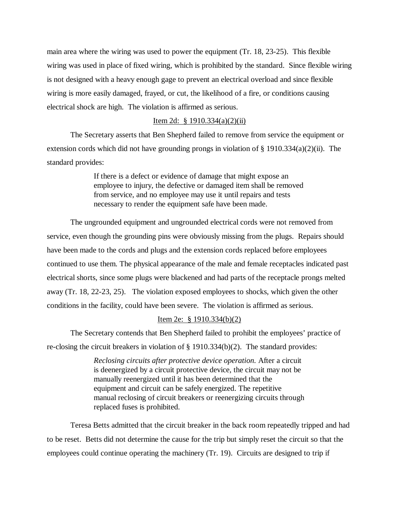main area where the wiring was used to power the equipment (Tr. 18, 23-25). This flexible wiring was used in place of fixed wiring, which is prohibited by the standard. Since flexible wiring is not designed with a heavy enough gage to prevent an electrical overload and since flexible wiring is more easily damaged, frayed, or cut, the likelihood of a fire, or conditions causing electrical shock are high. The violation is affirmed as serious.

# Item 2d: § 1910.334(a)(2)(ii)

The Secretary asserts that Ben Shepherd failed to remove from service the equipment or extension cords which did not have grounding prongs in violation of § 1910.334(a)(2)(ii). The standard provides:

> If there is a defect or evidence of damage that might expose an employee to injury, the defective or damaged item shall be removed from service, and no employee may use it until repairs and tests necessary to render the equipment safe have been made.

The ungrounded equipment and ungrounded electrical cords were not removed from service, even though the grounding pins were obviously missing from the plugs. Repairs should have been made to the cords and plugs and the extension cords replaced before employees continued to use them. The physical appearance of the male and female receptacles indicated past electrical shorts, since some plugs were blackened and had parts of the receptacle prongs melted away (Tr. 18, 22-23, 25). The violation exposed employees to shocks, which given the other conditions in the facility, could have been severe. The violation is affirmed as serious.

# Item 2e: § 1910.334(b)(2)

The Secretary contends that Ben Shepherd failed to prohibit the employees' practice of re-closing the circuit breakers in violation of § 1910.334(b)(2). The standard provides:

> *Reclosing circuits after protective device operation.* After a circuit is deenergized by a circuit protective device, the circuit may not be manually reenergized until it has been determined that the equipment and circuit can be safely energized. The repetitive manual reclosing of circuit breakers or reenergizing circuits through replaced fuses is prohibited.

Teresa Betts admitted that the circuit breaker in the back room repeatedly tripped and had to be reset. Betts did not determine the cause for the trip but simply reset the circuit so that the employees could continue operating the machinery (Tr. 19). Circuits are designed to trip if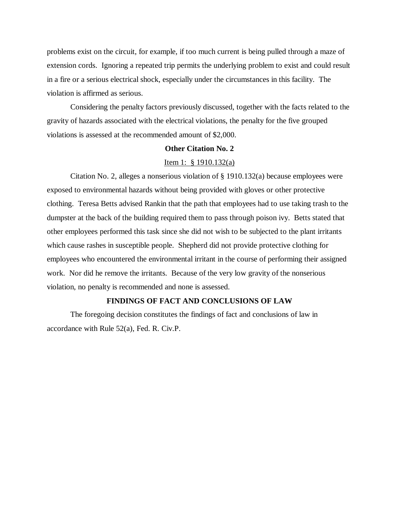problems exist on the circuit, for example, if too much current is being pulled through a maze of extension cords. Ignoring a repeated trip permits the underlying problem to exist and could result in a fire or a serious electrical shock, especially under the circumstances in this facility. The violation is affirmed as serious.

Considering the penalty factors previously discussed, together with the facts related to the gravity of hazards associated with the electrical violations, the penalty for the five grouped violations is assessed at the recommended amount of \$2,000.

#### **Other Citation No. 2**

## Item 1: § 1910.132(a)

Citation No. 2, alleges a nonserious violation of § 1910.132(a) because employees were exposed to environmental hazards without being provided with gloves or other protective clothing. Teresa Betts advised Rankin that the path that employees had to use taking trash to the dumpster at the back of the building required them to pass through poison ivy. Betts stated that other employees performed this task since she did not wish to be subjected to the plant irritants which cause rashes in susceptible people. Shepherd did not provide protective clothing for employees who encountered the environmental irritant in the course of performing their assigned work. Nor did he remove the irritants. Because of the very low gravity of the nonserious violation, no penalty is recommended and none is assessed.

# **FINDINGS OF FACT AND CONCLUSIONS OF LAW**

The foregoing decision constitutes the findings of fact and conclusions of law in accordance with Rule 52(a), Fed. R. Civ.P.